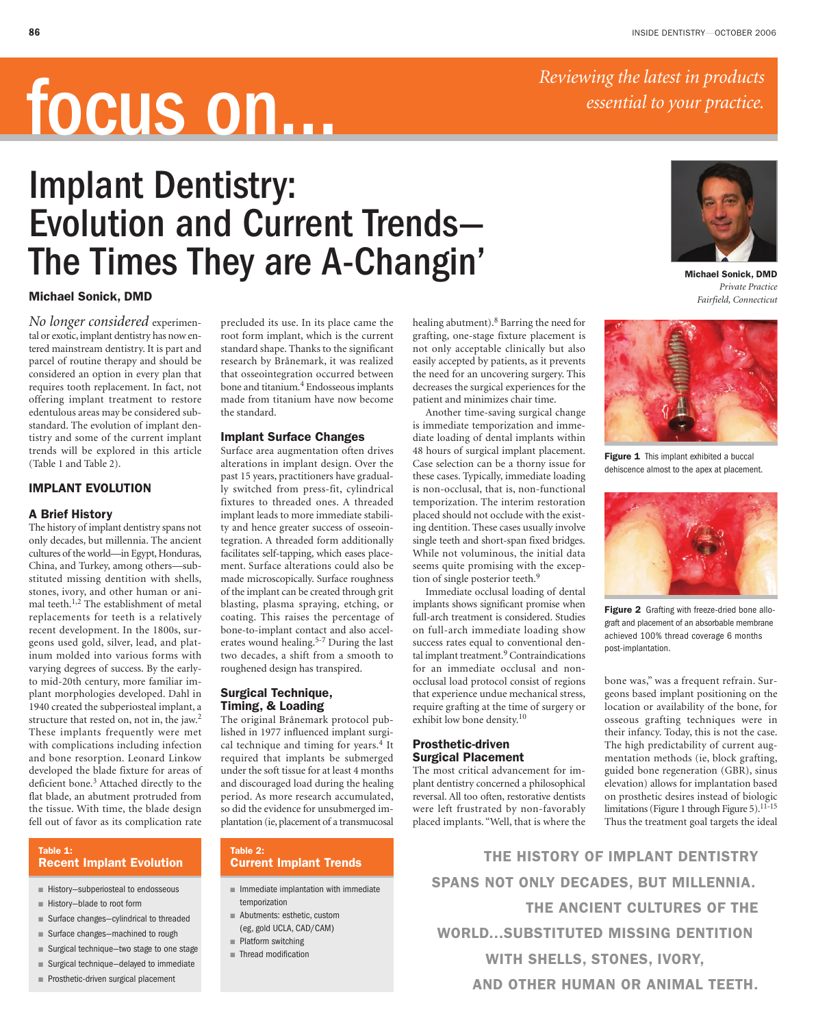*Reviewing the latest in products* 

*essential to your practice.*

# focus on…

# Implant Dentistry: Evolution and Current Trends— The Times They are A-Changin'



**Michael Sonick, DMD** *Private Practice Fairfield, Connecticut*

## **Michael Sonick, DMD**

*No longer considered* experimental or exotic, implant dentistry has now entered mainstream dentistry. It is part and parcel of routine therapy and should be considered an option in every plan that requires tooth replacement. In fact, not offering implant treatment to restore edentulous areas may be considered substandard. The evolution of implant dentistry and some of the current implant trends will be explored in this article (Table 1 and Table 2).

# **IMPLANT EVOLUTION**

#### **A Brief History**

The history of implant dentistry spans not only decades, but millennia. The ancient cultures of the world—in Egypt, Honduras, China, and Turkey, among others—substituted missing dentition with shells, stones, ivory, and other human or animal teeth.<sup>1,2</sup> The establishment of metal replacements for teeth is a relatively recent development. In the 1800s, surgeons used gold, silver, lead, and platinum molded into various forms with varying degrees of success. By the earlyto mid-20th century, more familiar implant morphologies developed. Dahl in 1940 created the subperiosteal implant, a structure that rested on, not in, the jaw.<sup>2</sup> These implants frequently were met with complications including infection and bone resorption. Leonard Linkow developed the blade fixture for areas of deficient bone.<sup>3</sup> Attached directly to the flat blade, an abutment protruded from the tissue. With time, the blade design fell out of favor as its complication rate

#### **Table 1: Recent Implant Evolution**

- History-subperiosteal to endosseous
- History-blade to root form
- Surface changes-cylindrical to threaded
- Surface changes-machined to rough
- Surgical technique—two stage to one stage
- Surgical technique-delayed to immediate
- Prosthetic-driven surgical placement

precluded its use. In its place came the root form implant, which is the current standard shape. Thanks to the significant research by Brånemark, it was realized that osseointegration occurred between bone and titanium.<sup>4</sup> Endosseous implants made from titanium have now become the standard.

## **Implant Surface Changes**

Surface area augmentation often drives alterations in implant design. Over the past 15 years, practitioners have gradually switched from press-fit, cylindrical fixtures to threaded ones. A threaded implant leads to more immediate stability and hence greater success of osseointegration. A threaded form additionally facilitates self-tapping, which eases placement. Surface alterations could also be made microscopically. Surface roughness of the implant can be created through grit blasting, plasma spraying, etching, or coating. This raises the percentage of bone-to-implant contact and also accelerates wound healing.5-7 During the last two decades, a shift from a smooth to roughened design has transpired.

# **Surgical Technique, Timing, & Loading**

The original Brånemark protocol published in 1977 influenced implant surgical technique and timing for years.<sup>4</sup> It required that implants be submerged under the soft tissue for at least 4 months and discouraged load during the healing period. As more research accumulated, so did the evidence for unsubmerged implantation (ie,placement of a transmucosal

#### **Table 2: Current Implant Trends**

- Immediate implantation with immediate temporization
- Abutments: esthetic, custom (eg, gold UCLA, CAD/CAM) ■ Platform switching
- Thread modification

healing abutment).8 Barring the need for grafting, one-stage fixture placement is not only acceptable clinically but also easily accepted by patients, as it prevents the need for an uncovering surgery. This decreases the surgical experiences for the patient and minimizes chair time.

Another time-saving surgical change is immediate temporization and immediate loading of dental implants within 48 hours of surgical implant placement. Case selection can be a thorny issue for these cases. Typically, immediate loading is non-occlusal, that is, non-functional temporization. The interim restoration placed should not occlude with the existing dentition. These cases usually involve single teeth and short-span fixed bridges. While not voluminous, the initial data seems quite promising with the exception of single posterior teeth.9

Immediate occlusal loading of dental implants shows significant promise when full-arch treatment is considered. Studies on full-arch immediate loading show success rates equal to conventional dental implant treatment.<sup>9</sup> Contraindications for an immediate occlusal and nonocclusal load protocol consist of regions that experience undue mechanical stress, require grafting at the time of surgery or exhibit low bone density.10

# **Prosthetic-driven Surgical Placement**

The most critical advancement for implant dentistry concerned a philosophical reversal. All too often, restorative dentists were left frustrated by non-favorably placed implants. "Well, that is where the



Figure 1 This implant exhibited a buccal dehiscence almost to the apex at placement.



**Figure 2** Grafting with freeze-dried bone allograft and placement of an absorbable membrane achieved 100% thread coverage 6 months post-implantation.

bone was," was a frequent refrain. Surgeons based implant positioning on the location or availability of the bone, for osseous grafting techniques were in their infancy. Today, this is not the case. The high predictability of current augmentation methods (ie, block grafting, guided bone regeneration (GBR), sinus elevation) allows for implantation based on prosthetic desires instead of biologic limitations (Figure 1 through Figure 5).<sup>11-15</sup> Thus the treatment goal targets the ideal

**THE HISTORY OF IMPLANT DENTISTRY SPANS NOT ONLY DECADES, BUT MILLENNIA. THE ANCIENT CULTURES OF THE WORLD...SUBSTITUTED MISSING DENTITION WITH SHELLS, STONES, IVORY, AND OTHER HUMAN OR ANIMAL TEETH.**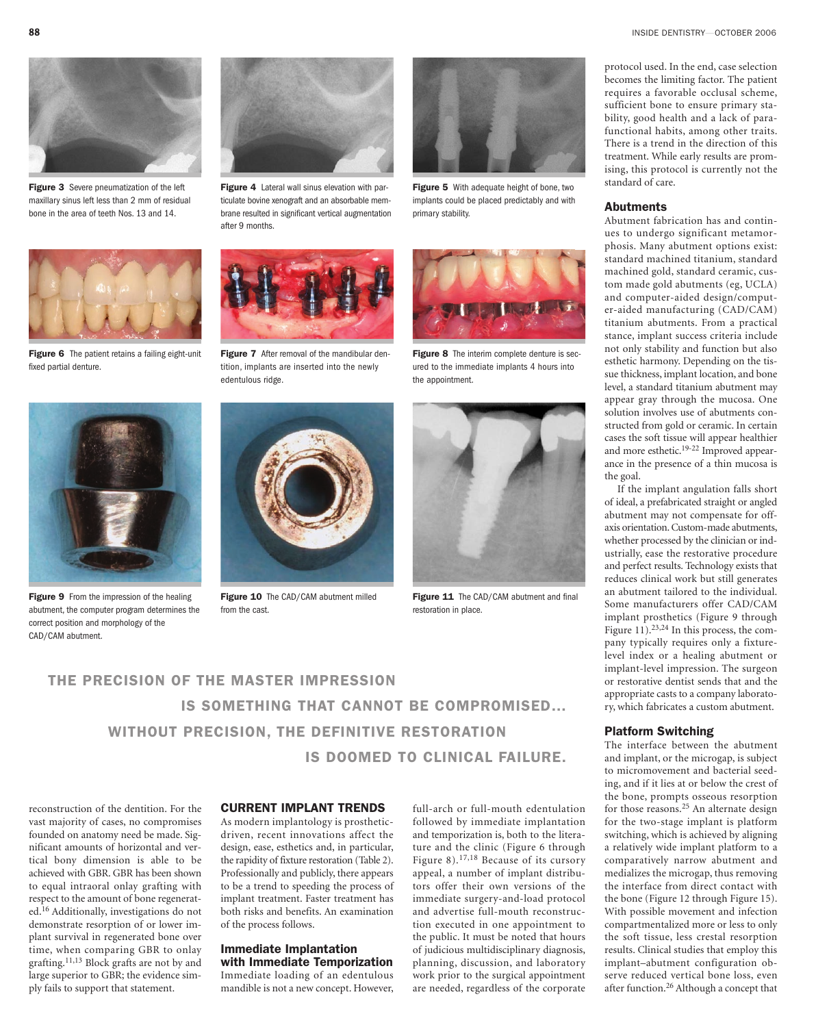**Figure 3** Severe pneumatization of the left maxillary sinus left less than 2 mm of residual bone in the area of teeth Nos. 13 and 14.



**Figure 6** The patient retains a failing eight-unit fixed partial denture.



**Figure 9** From the impression of the healing abutment, the computer program determines the correct position and morphology of the CAD/CAM abutment.



**Figure 4** Lateral wall sinus elevation with particulate bovine xenograft and an absorbable membrane resulted in significant vertical augmentation after 9 months.



**Figure 7** After removal of the mandibular dentition, implants are inserted into the newly edentulous ridge.



**Figure 10** The CAD/CAM abutment milled from the cast.



**Figure 5** With adequate height of bone, two implants could be placed predictably and with primary stability.



**Figure 8** The interim complete denture is secured to the immediate implants 4 hours into the appointment.



Figure 11 The CAD/CAM abutment and final restoration in place.

**THE PRECISION OF THE MASTER IMPRESSION IS SOMETHING THAT CANNOT BE COMPROMISED… WITHOUT PRECISION, THE DEFINITIVE RESTORATION IS DOOMED TO CLINICAL FAILURE.** 

reconstruction of the dentition. For the vast majority of cases, no compromises founded on anatomy need be made. Significant amounts of horizontal and vertical bony dimension is able to be achieved with GBR. GBR has been shown to equal intraoral onlay grafting with respect to the amount of bone regenerated.16 Additionally, investigations do not demonstrate resorption of or lower implant survival in regenerated bone over time, when comparing GBR to onlay grafting. 11,13 Block grafts are not by and large superior to GBR; the evidence simply fails to support that statement.

## **CURRENT IMPLANT TRENDS**

As modern implantology is prostheticdriven, recent innovations affect the design, ease, esthetics and, in particular, the rapidity of fixture restoration (Table 2). Professionally and publicly, there appears to be a trend to speeding the process of implant treatment. Faster treatment has both risks and benefits. An examination of the process follows.

#### **Immediate Implantation with Immediate Temporization**

Immediate loading of an edentulous mandible is not a new concept. However, full-arch or full-mouth edentulation followed by immediate implantation and temporization is, both to the literature and the clinic (Figure 6 through Figure 8).17,18 Because of its cursory appeal, a number of implant distributors offer their own versions of the immediate surgery-and-load protocol and advertise full-mouth reconstruction executed in one appointment to the public. It must be noted that hours of judicious multidisciplinary diagnosis, planning, discussion, and laboratory work prior to the surgical appointment are needed, regardless of the corporate

protocol used. In the end, case selection becomes the limiting factor. The patient requires a favorable occlusal scheme, sufficient bone to ensure primary stability, good health and a lack of parafunctional habits, among other traits. There is a trend in the direction of this treatment. While early results are promising, this protocol is currently not the standard of care.

#### **Abutments**

Abutment fabrication has and continues to undergo significant metamorphosis. Many abutment options exist: standard machined titanium, standard machined gold, standard ceramic, custom made gold abutments (eg, UCLA) and computer-aided design/computer-aided manufacturing (CAD/CAM) titanium abutments. From a practical stance, implant success criteria include not only stability and function but also esthetic harmony. Depending on the tissue thickness, implant location, and bone level, a standard titanium abutment may appear gray through the mucosa. One solution involves use of abutments constructed from gold or ceramic. In certain cases the soft tissue will appear healthier and more esthetic.19-22 Improved appearance in the presence of a thin mucosa is the goal.

If the implant angulation falls short of ideal, a prefabricated straight or angled abutment may not compensate for offaxis orientation. Custom-made abutments, whether processed by the clinician or industrially, ease the restorative procedure and perfect results. Technology exists that reduces clinical work but still generates an abutment tailored to the individual. Some manufacturers offer CAD/CAM implant prosthetics (Figure 9 through Figure 11).<sup>23,24</sup> In this process, the company typically requires only a fixturelevel index or a healing abutment or implant-level impression. The surgeon or restorative dentist sends that and the appropriate casts to a company laboratory, which fabricates a custom abutment.

#### **Platform Switching**

The interface between the abutment and implant, or the microgap, is subject to micromovement and bacterial seeding, and if it lies at or below the crest of the bone, prompts osseous resorption for those reasons.<sup>25</sup> An alternate design for the two-stage implant is platform switching, which is achieved by aligning a relatively wide implant platform to a comparatively narrow abutment and medializes the microgap, thus removing the interface from direct contact with the bone (Figure 12 through Figure 15). With possible movement and infection compartmentalized more or less to only the soft tissue, less crestal resorption results. Clinical studies that employ this implant–abutment configuration observe reduced vertical bone loss, even after function.26 Although a concept that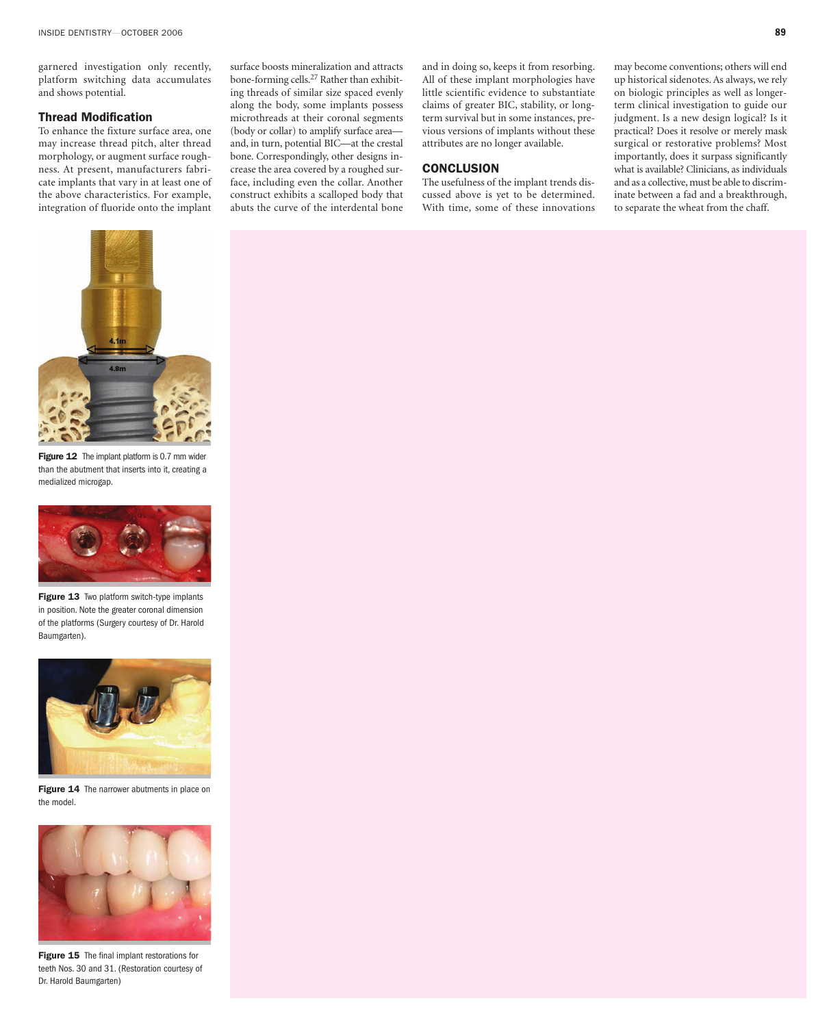garnered investigation only recently, platform switching data accumulates and shows potential.

# **Thread Modification**

To enhance the fixture surface area, one may increase thread pitch, alter thread morphology, or augment surface roughness. At present, manufacturers fabricate implants that vary in at least one of the above characteristics. For example, integration of fluoride onto the implant

surface boosts mineralization and attracts bone-forming cells.27 Rather than exhibiting threads of similar size spaced evenly along the body, some implants possess microthreads at their coronal segments (body or collar) to amplify surface area and, in turn, potential BIC—at the crestal bone. Correspondingly, other designs increase the area covered by a roughed surface, including even the collar. Another construct exhibits a scalloped body that abuts the curve of the interdental bone and in doing so, keeps it from resorbing. All of these implant morphologies have little scientific evidence to substantiate claims of greater BIC, stability, or longterm survival but in some instances, previous versions of implants without these attributes are no longer available.

# **CONCLUSION**

The usefulness of the implant trends discussed above is yet to be determined. With time, some of these innovations

may become conventions; others will end up historical sidenotes. As always, we rely on biologic principles as well as longerterm clinical investigation to guide our judgment. Is a new design logical? Is it practical? Does it resolve or merely mask surgical or restorative problems? Most importantly, does it surpass significantly what is available? Clinicians, as individuals and as a collective, must be able to discriminate between a fad and a breakthrough, to separate the wheat from the chaff.



**Figure 12** The implant platform is 0.7 mm wider than the abutment that inserts into it, creating a medialized microgap.



**Figure 13** Two platform switch-type implants in position. Note the greater coronal dimension of the platforms (Surgery courtesy of Dr. Harold Baumgarten).



**Figure 14** The narrower abutments in place on the model.



**Figure 15** The final implant restorations for teeth Nos. 30 and 31. (Restoration courtesy of Dr. Harold Baumgarten)